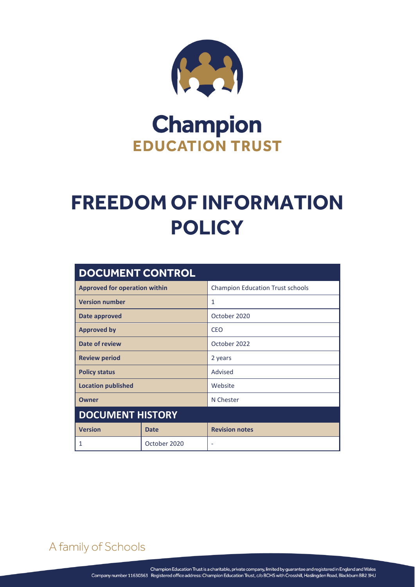

# **Champion EDUCATION TRUST**

# **FREEDOM OF INFORMATION POLICY**

| <b>DOCUMENT CONTROL</b>              |              |                                         |
|--------------------------------------|--------------|-----------------------------------------|
| <b>Approved for operation within</b> |              | <b>Champion Education Trust schools</b> |
| <b>Version number</b>                |              | 1                                       |
| Date approved                        |              | October 2020                            |
| <b>Approved by</b>                   |              | CEO                                     |
| Date of review                       |              | October 2022                            |
| <b>Review period</b>                 |              | 2 years                                 |
| <b>Policy status</b>                 |              | Advised                                 |
| <b>Location published</b>            |              | Website                                 |
| <b>Owner</b>                         |              | N Chester                               |
| <b>DOCUMENT HISTORY</b>              |              |                                         |
| <b>Version</b>                       | <b>Date</b>  | <b>Revision notes</b>                   |
| 1                                    | October 2020 | $\overline{\phantom{a}}$                |

# A family of Schools

FREEDOM OF INFORMATION POLICY Page **0** of **6**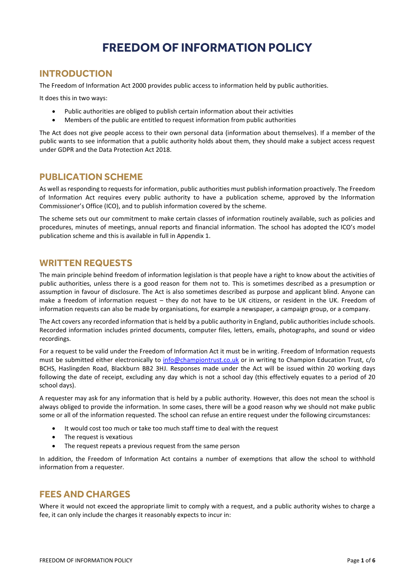## **FREEDOM OF INFORMATION POLICY**

## **INTRODUCTION**

The Freedom of Information Act 2000 provides public access to information held by public authorities.

It does this in two ways:

- Public authorities are obliged to publish certain information about their activities
- Members of the public are entitled to request information from public authorities

The Act does not give people access to their own personal data (information about themselves). If a member of the public wants to see information that a public authority holds about them, they should make a subject access request under GDPR and the Data Protection Act 2018.

### **PUBLICATION SCHEME**

As well as responding to requests for information, public authorities must publish information proactively. The Freedom of Information Act requires every public authority to have a publication scheme, approved by the Information Commissioner's Office (ICO), and to publish information covered by the scheme.

The scheme sets out our commitment to make certain classes of information routinely available, such as policies and procedures, minutes of meetings, annual reports and financial information. The school has adopted the ICO's model publication scheme and this is available in full in Appendix 1.

### **WRITTEN REQUESTS**

The main principle behind freedom of information legislation is that people have a right to know about the activities of public authorities, unless there is a good reason for them not to. This is sometimes described as a presumption or assumption in favour of disclosure. The Act is also sometimes described as purpose and applicant blind. Anyone can make a freedom of information request – they do not have to be UK citizens, or resident in the UK. Freedom of information requests can also be made by organisations, for example a newspaper, a campaign group, or a company.

The Act covers any recorded information that is held by a public authority in England, public authorities include schools. Recorded information includes printed documents, computer files, letters, emails, photographs, and sound or video recordings.

For a request to be valid under the Freedom of Information Act it must be in writing. Freedom of Information requests must be submitted either electronically to [info@championtrust.co.uk](mailto:info@championtrust.co.uk) or in writing to Champion Education Trust, c/o BCHS, Haslingden Road, Blackburn BB2 3HJ. Responses made under the Act will be issued within 20 working days following the date of receipt, excluding any day which is not a school day (this effectively equates to a period of 20 school days).

A requester may ask for any information that is held by a public authority. However, this does not mean the school is always obliged to provide the information. In some cases, there will be a good reason why we should not make public some or all of the information requested. The school can refuse an entire request under the following circumstances:

- It would cost too much or take too much staff time to deal with the request
- The request is vexatious
- The request repeats a previous request from the same person

In addition, the Freedom of Information Act contains a number of exemptions that allow the school to withhold information from a requester.

## **FEES AND CHARGES**

Where it would not exceed the appropriate limit to comply with a request, and a public authority wishes to charge a fee, it can only include the charges it reasonably expects to incur in: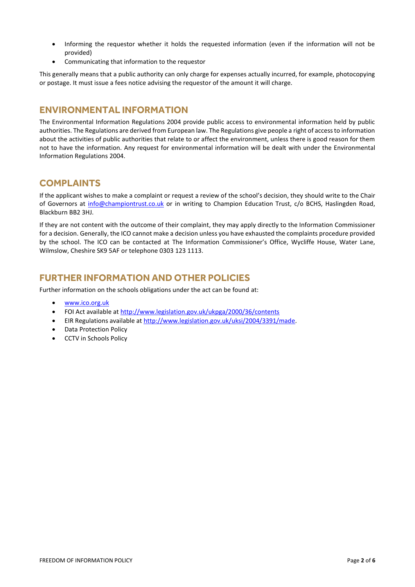- Informing the requestor whether it holds the requested information (even if the information will not be provided)
- Communicating that information to the requestor

This generally means that a public authority can only charge for expenses actually incurred, for example, photocopying or postage. It must issue a fees notice advising the requestor of the amount it will charge.

## **ENVIRONMENTAL INFORMATION**

The Environmental Information Regulations 2004 provide public access to environmental information held by public authorities. The Regulations are derived from European law. The Regulations give people a right of access to information about the activities of public authorities that relate to or affect the environment, unless there is good reason for them not to have the information. Any request for environmental information will be dealt with under the Environmental Information Regulations 2004.

## **COMPLAINTS**

If the applicant wishes to make a complaint or request a review of the school's decision, they should write to the Chair of Governors at [info@championtrust.co.uk](mailto:info@championtrust.co.uk) or in writing to Champion Education Trust, c/o BCHS, Haslingden Road, Blackburn BB2 3HJ.

If they are not content with the outcome of their complaint, they may apply directly to the Information Commissioner for a decision. Generally, the ICO cannot make a decision unless you have exhausted the complaints procedure provided by the school. The ICO can be contacted at The Information Commissioner's Office, Wycliffe House, Water Lane, Wilmslow, Cheshire SK9 5AF or telephone 0303 123 1113.

## **FURTHER INFORMATION AND OTHER POLICIES**

Further information on the schools obligations under the act can be found at:

- [www.ico.org.uk](http://www.ico.org.uk/)
- FOI Act available at<http://www.legislation.gov.uk/ukpga/2000/36/contents>
- EIR Regulations available at [http://www.legislation.gov.uk/uksi/2004/3391/made.](http://www.legislation.gov.uk/uksi/2004/3391/made)
- Data Protection Policy
- CCTV in Schools Policy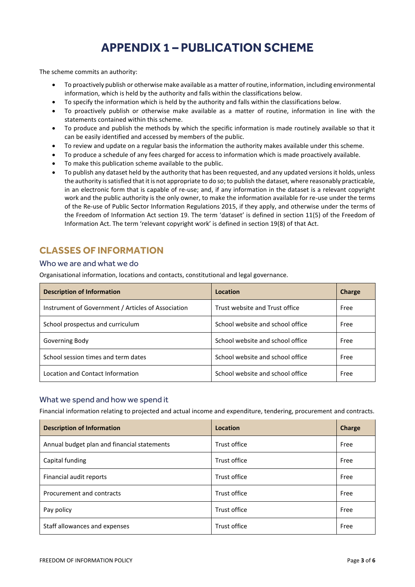## **APPENDIX 1 – PUBLICATION SCHEME**

The scheme commits an authority:

- To proactively publish or otherwise make available as a matter of routine, information, including environmental information, which is held by the authority and falls within the classifications below.
- To specify the information which is held by the authority and falls within the classifications below.
- To proactively publish or otherwise make available as a matter of routine, information in line with the statements contained within this scheme.
- To produce and publish the methods by which the specific information is made routinely available so that it can be easily identified and accessed by members of the public.
- To review and update on a regular basis the information the authority makes available under this scheme.
- To produce a schedule of any fees charged for access to information which is made proactively available.
- To make this publication scheme available to the public.
- To publish any dataset held by the authority that has been requested, and any updated versions it holds, unless the authority is satisfied that it is not appropriate to do so; to publish the dataset, where reasonably practicable, in an electronic form that is capable of re-use; and, if any information in the dataset is a relevant copyright work and the public authority is the only owner, to make the information available for re-use under the terms of the Re-use of Public Sector Information Regulations 2015, if they apply, and otherwise under the terms of the Freedom of Information Act section 19. The term 'dataset' is defined in section 11(5) of the Freedom of Information Act. The term 'relevant copyright work' is defined in section 19(8) of that Act.

## **CLASSES OF INFORMATION**

#### Who we are and what we do

Organisational information, locations and contacts, constitutional and legal governance.

| <b>Description of Information</b>                  | Location                         | Charge |
|----------------------------------------------------|----------------------------------|--------|
| Instrument of Government / Articles of Association | Trust website and Trust office   | Free   |
| School prospectus and curriculum                   | School website and school office | Free   |
| Governing Body                                     | School website and school office | Free   |
| School session times and term dates                | School website and school office | Free   |
| Location and Contact Information                   | School website and school office | Free   |

#### What we spend and how we spend it

Financial information relating to projected and actual income and expenditure, tendering, procurement and contracts.

| <b>Description of Information</b>           | Location     | Charge |
|---------------------------------------------|--------------|--------|
| Annual budget plan and financial statements | Trust office | Free   |
| Capital funding                             | Trust office | Free   |
| Financial audit reports                     | Trust office | Free   |
| Procurement and contracts                   | Trust office | Free   |
| Pay policy                                  | Trust office | Free   |
| Staff allowances and expenses               | Trust office | Free   |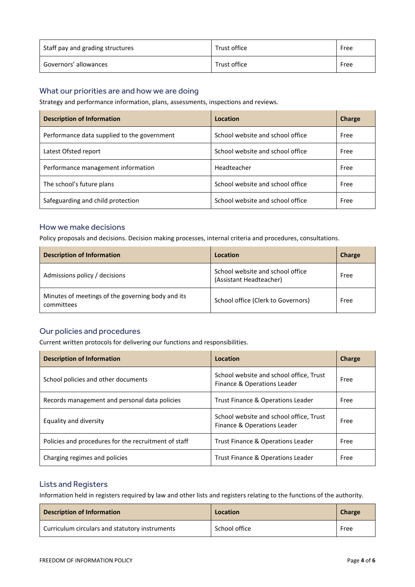| Staff pay and grading structures | Trust office | Free |
|----------------------------------|--------------|------|
| Governors' allowances            | Trust office | Free |

#### What our priorities are and how we are doing

Strategy and performance information, plans, assessments, inspections and reviews.

| <b>Description of Information</b>           | Location                         | Charge |
|---------------------------------------------|----------------------------------|--------|
| Performance data supplied to the government | School website and school office | Free   |
| Latest Ofsted report                        | School website and school office | Free   |
| Performance management information          | Headteacher                      | Free   |
| The school's future plans                   | School website and school office | Free   |
| Safeguarding and child protection           | School website and school office | Free   |

#### How we make decisions

Policy proposals and decisions. Decision making processes, internal criteria and procedures, consultations.

| <b>Description of Information</b>                               | Location                                                    | Charge |
|-----------------------------------------------------------------|-------------------------------------------------------------|--------|
| Admissions policy / decisions                                   | School website and school office<br>(Assistant Headteacher) | Free   |
| Minutes of meetings of the governing body and its<br>committees | School office (Clerk to Governors)                          | Free   |

#### Our policies and procedures

Current written protocols for delivering our functions and responsibilities.

| <b>Description of Information</b>                    | Location                                                               | Charge |
|------------------------------------------------------|------------------------------------------------------------------------|--------|
| School policies and other documents                  | School website and school office, Trust<br>Finance & Operations Leader | Free   |
| Records management and personal data policies        | Trust Finance & Operations Leader                                      | Free   |
| Equality and diversity                               | School website and school office, Trust<br>Finance & Operations Leader | Free   |
| Policies and procedures for the recruitment of staff | Trust Finance & Operations Leader                                      | Free   |
| Charging regimes and policies                        | Trust Finance & Operations Leader                                      | Free   |

#### Lists and Registers

Information held in registers required by law and other lists and registers relating to the functions of the authority.

| <b>Description of Information</b>              | Location      | <b>Charge</b> |
|------------------------------------------------|---------------|---------------|
| Curriculum circulars and statutory instruments | School office | Free          |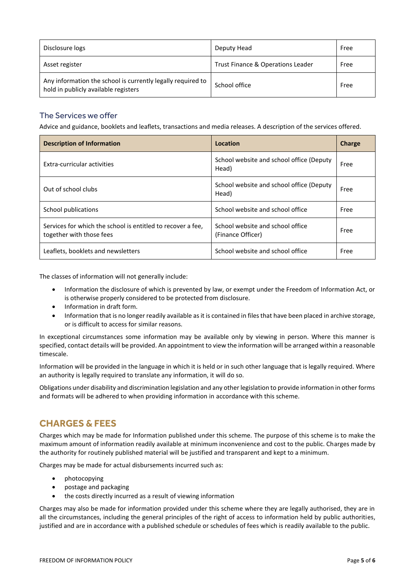| Disclosure logs                                                                                     | Deputy Head                       | Free |
|-----------------------------------------------------------------------------------------------------|-----------------------------------|------|
| Asset register                                                                                      | Trust Finance & Operations Leader | Free |
| Any information the school is currently legally required to<br>hold in publicly available registers | School office                     | Free |

#### The Services we offer

Advice and guidance, booklets and leaflets, transactions and media releases. A description of the services offered.

| <b>Description of Information</b>                                                       | Location                                              | Charge |
|-----------------------------------------------------------------------------------------|-------------------------------------------------------|--------|
| Extra-curricular activities                                                             | School website and school office (Deputy<br>Head)     | Free   |
| Out of school clubs                                                                     | School website and school office (Deputy<br>Head)     | Free   |
| School publications                                                                     | School website and school office                      | Free   |
| Services for which the school is entitled to recover a fee.<br>together with those fees | School website and school office<br>(Finance Officer) | Free   |
| Leaflets, booklets and newsletters                                                      | School website and school office                      | Free   |

The classes of information will not generally include:

- Information the disclosure of which is prevented by law, or exempt under the Freedom of Information Act, or is otherwise properly considered to be protected from disclosure.
- Information in draft form.
- Information that is no longer readily available as it is contained in files that have been placed in archive storage, or is difficult to access for similar reasons.

In exceptional circumstances some information may be available only by viewing in person. Where this manner is specified, contact details will be provided. An appointment to view the information will be arranged within a reasonable timescale.

Information will be provided in the language in which it is held or in such other language that is legally required. Where an authority is legally required to translate any information, it will do so.

Obligations under disability and discrimination legislation and any other legislation to provide information in other forms and formats will be adhered to when providing information in accordance with this scheme.

## **CHARGES & FEES**

Charges which may be made for Information published under this scheme. The purpose of this scheme is to make the maximum amount of information readily available at minimum inconvenience and cost to the public. Charges made by the authority for routinely published material will be justified and transparent and kept to a minimum.

Charges may be made for actual disbursements incurred such as:

- photocopying
- postage and packaging
- the costs directly incurred as a result of viewing information

Charges may also be made for information provided under this scheme where they are legally authorised, they are in all the circumstances, including the general principles of the right of access to information held by public authorities, justified and are in accordance with a published schedule or schedules of fees which is readily available to the public.